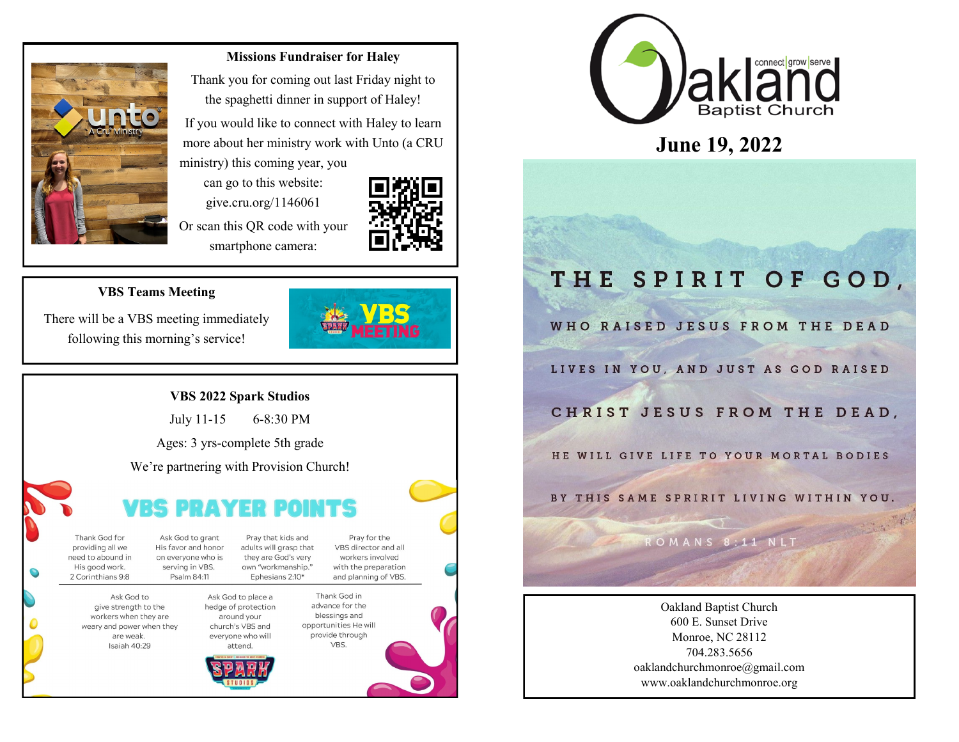

#### **Missions Fundraiser for Haley**

Thank you for coming out last Friday night to the spaghetti dinner in support of Haley!

If you would like to connect with Haley to learn more about her ministry work with Unto (a CRU ministry) this coming year, you

can go to this website: give.cru.org/1146061

Or scan this QR code with your smartphone camera:



#### **VBS Teams Meeting**

There will be a VBS meeting immediately following this morning's service!

#### **VBS 2022 Spark Studios**

July 11-15 6-8:30 PM

Ages: 3 yrs-complete 5th grade

We're partnering with Provision Church!

| Pray that kids and<br>adults will grasp that<br>they are God's very<br>own "workmanship." |                                                                              | Ask God to grant<br>His favor and honor<br>on everyone who is<br>serving in VBS. |  | Thank God for<br>providing all we<br>need to abound in<br>His good work.                 |
|-------------------------------------------------------------------------------------------|------------------------------------------------------------------------------|----------------------------------------------------------------------------------|--|------------------------------------------------------------------------------------------|
|                                                                                           | Ephesians 2:10*                                                              | Psalm 84:11                                                                      |  | 2 Corinthians 9:8                                                                        |
| a<br>opp                                                                                  | Ask God to place a<br>hedge of protection<br>around your<br>church's VBS and |                                                                                  |  | Ask God to<br>give strength to the<br>workers when they are<br>weary and power when they |
| everyone who will<br>p<br>attend.<br>CREATED IN CHRIST-DESIGNED FOR GOD'S PURPOSE         |                                                                              |                                                                                  |  | are weak.<br>Isaiah 40:29                                                                |





Thank God in advance for the blessings and opportunities He will provide through





# THE SPIRIT OF GOD,

WHO RAISED JESUS FROM THE DEAD

LIVES IN YOU, AND JUST AS GOD RAISED

CHRIST JESUS FROM THE DEAD.

HE WILL GIVE LIFE TO YOUR MORTAL BODIES

BY THIS SAME SPRIRIT LIVING WITHIN YOU.

ROMANS 8:11 NLT

Oakland Baptist Church 600 E. Sunset Drive Monroe, NC 28112 704.283.5656 oaklandchurchmonroe@gmail.com www.oaklandchurchmonroe.org